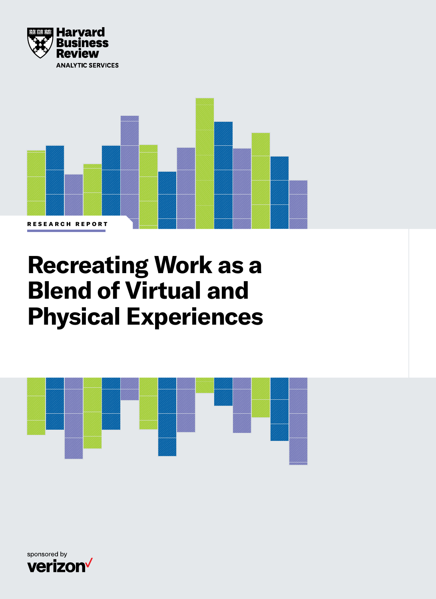



# **Recreating Work as a Blend of Virtual and Physical Experiences**



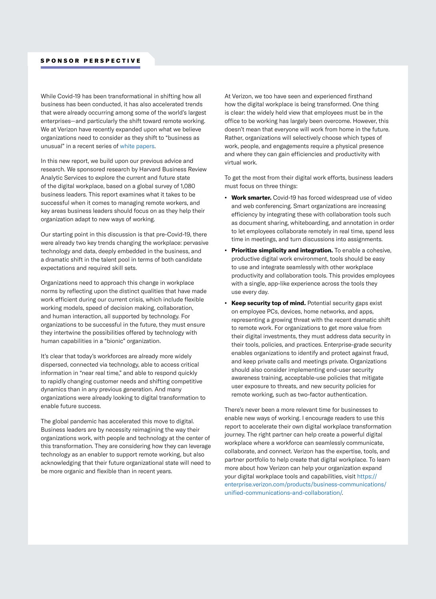While Covid-19 has been transformational in shifting how all business has been conducted, it has also accelerated trends that were already occurring among some of the world's largest enterprises—and particularly the shift toward remote working. We at Verizon have recently expanded upon what we believe organizations need to consider as they shift to "business as unusual" in a recent series of [white papers.](https://www.verizon.com/about/news/white-paper-return-business-unusual-the-workplace-of-the-future)

In this new report, we build upon our previous advice and research. We sponsored research by Harvard Business Review Analytic Services to explore the current and future state of the digital workplace, based on a global survey of 1,080 business leaders. This report examines what it takes to be successful when it comes to managing remote workers, and key areas business leaders should focus on as they help their organization adapt to new ways of working.

Our starting point in this discussion is that pre-Covid-19, there were already two key trends changing the workplace: pervasive technology and data, deeply embedded in the business, and a dramatic shift in the talent pool in terms of both candidate expectations and required skill sets.

Organizations need to approach this change in workplace norms by reflecting upon the distinct qualities that have made work efficient during our current crisis, which include flexible working models, speed of decision making, collaboration, and human interaction, all supported by technology. For organizations to be successful in the future, they must ensure they intertwine the possibilities offered by technology with human capabilities in a "bionic" organization.

It's clear that today's workforces are already more widely dispersed, connected via technology, able to access critical information in "near real time," and able to respond quickly to rapidly changing customer needs and shifting competitive dynamics than in any previous generation. And many organizations were already looking to digital transformation to enable future success.

The global pandemic has accelerated this move to digital. Business leaders are by necessity reimagining the way their organizations work, with people and technology at the center of this transformation. They are considering how they can leverage technology as an enabler to support remote working, but also acknowledging that their future organizational state will need to be more organic and flexible than in recent years.

At Verizon, we too have seen and experienced firsthand how the digital workplace is being transformed. One thing is clear: the widely held view that employees must be in the office to be working has largely been overcome. However, this doesn't mean that everyone will work from home in the future. Rather, organizations will selectively choose which types of work, people, and engagements require a physical presence and where they can gain efficiencies and productivity with virtual work.

To get the most from their digital work efforts, business leaders must focus on three things:

- **• Work smarter.** Covid-19 has forced widespread use of video and web conferencing. Smart organizations are increasing efficiency by integrating these with collaboration tools such as document sharing, whiteboarding, and annotation in order to let employees collaborate remotely in real time, spend less time in meetings, and turn discussions into assignments.
- **• Prioritize simplicity and integration.** To enable a cohesive, productive digital work environment, tools should be easy to use and integrate seamlessly with other workplace productivity and collaboration tools. This provides employees with a single, app-like experience across the tools they use every day.
- **• Keep security top of mind.** Potential security gaps exist on employee PCs, devices, home networks, and apps, representing a growing threat with the recent dramatic shift to remote work. For organizations to get more value from their digital investments, they must address data security in their tools, policies, and practices. Enterprise-grade security enables organizations to identify and protect against fraud, and keep private calls and meetings private. Organizations should also consider implementing end-user security awareness training, acceptable-use policies that mitigate user exposure to threats, and new security policies for remote working, such as two-factor authentication.

There's never been a more relevant time for businesses to enable new ways of working. I encourage readers to use this report to accelerate their own digital workplace transformation journey. The right partner can help create a powerful digital workplace where a workforce can seamlessly communicate, collaborate, and connect. Verizon has the expertise, tools, and partner portfolio to help create that digital workplace. To learn more about how Verizon can help your organization expand your digital workplace tools and capabilities, visit [https://](https://enterprise.verizon.com/products/business-communications/unified-communications-and-collaboration/) [enterprise.verizon.com/products/business-communications/](https://enterprise.verizon.com/products/business-communications/unified-communications-and-collaboration/) [unified-communications-and-collaboration/.](https://enterprise.verizon.com/products/business-communications/unified-communications-and-collaboration/)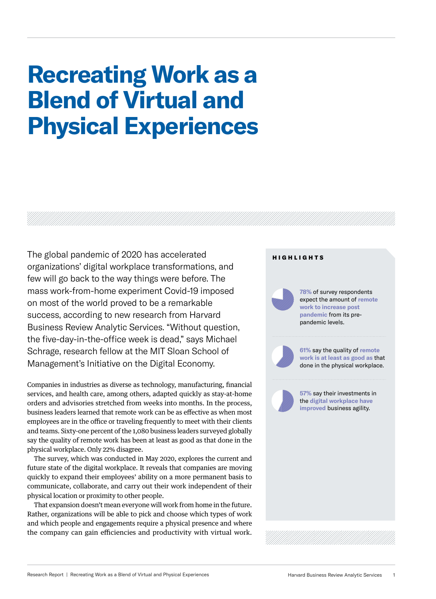# **Recreating Work as a Blend of Virtual and Physical Experiences**

The global pandemic of 2020 has accelerated organizations' digital workplace transformations, and few will go back to the way things were before. The mass work-from-home experiment Covid-19 imposed on most of the world proved to be a remarkable success, according to new research from Harvard Business Review Analytic Services. "Without question, the five-day-in-the-office week is dead," says Michael Schrage, research fellow at the MIT Sloan School of Management's Initiative on the Digital Economy.

Companies in industries as diverse as technology, manufacturing, financial services, and health care, among others, adapted quickly as stay-at-home orders and advisories stretched from weeks into months. In the process, business leaders learned that remote work can be as effective as when most employees are in the office or traveling frequently to meet with their clients and teams. Sixty-one percent of the 1,080 business leaders surveyed globally say the quality of remote work has been at least as good as that done in the physical workplace. Only 22% disagree.

The survey, which was conducted in May 2020, explores the current and future state of the digital workplace. It reveals that companies are moving quickly to expand their employees' ability on a more permanent basis to communicate, collaborate, and carry out their work independent of their physical location or proximity to other people.

That expansion doesn't mean everyone will work from home in the future. Rather, organizations will be able to pick and choose which types of work and which people and engagements require a physical presence and where the company can gain efficiencies and productivity with virtual work.

### HIGHLIGHTS

**78%** of survey respondents expect the amount of **remote work to increase post pandemic** from its prepandemic levels.

**61%** say the quality of **remote work is at least as good as** that done in the physical workplace.

**57%** say their investments in the **digital workplace have improved** business agility.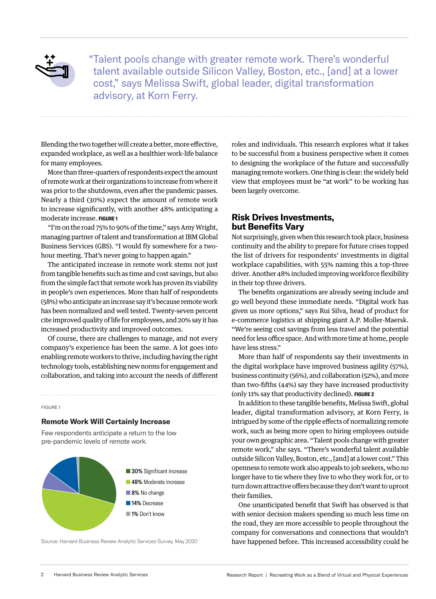

"Talent pools change with greater remote work. There's wonderful talent available outside Silicon Valley, Boston, etc., [and] at a lower cost," says Melissa Swift, global leader, digital transformation advisory, at Korn Ferry.

Blending the two together will create a better, more effective, expanded workplace, as well as a healthier work-life balance for many employees.

More than three-quarters of respondents expect the amount of remote work at their organizations to increase from where it was prior to the shutdowns, even after the pandemic passes. Nearly a third (30%) expect the amount of remote work to increase significantly, with another 48% anticipating a moderate increase. **FIGURE 1**

"I'm on the road 75% to 90% of the time," says Amy Wright, managing partner of talent and transformation at IBM Global Business Services (GBS). "I would fly somewhere for a twohour meeting. That's never going to happen again."

The anticipated increase in remote work stems not just from tangible benefits such as time and cost savings, but also from the simple fact that remote work has proven its viability in people's own experiences. More than half of respondents (58%) who anticipate an increase say it's because remote work has been normalized and well tested. Twenty-seven percent cite improved quality of life for employees, and 20% say it has increased productivity and improved outcomes.

Of course, there are challenges to manage, and not every company's experience has been the same. A lot goes into enabling remote workers to thrive, including having the right technology tools, establishing new norms for engagement and collaboration, and taking into account the needs of different

FIGURE 1

#### **Remote Work Will Certainly Increase**

Few respondents anticipate a return to the low pre-pandemic levels of remote work.



Source: Harvard Business Review Analytic Services Survey, May 2020

roles and individuals. This research explores what it takes to be successful from a business perspective when it comes to designing the workplace of the future and successfully managing remote workers. One thing is clear: the widely held view that employees must be "at work" to be working has been largely overcome.

# **Risk Drives Investments, but Benefits Vary**

Not surprisingly, given when this research took place, business continuity and the ability to prepare for future crises topped the list of drivers for respondents' investments in digital workplace capabilities, with 55% naming this a top-three driver. Another 48% included improving workforce flexibility in their top three drivers.

The benefits organizations are already seeing include and go well beyond these immediate needs. "Digital work has given us more options," says Rui Silva, head of product for e-commerce logistics at shipping giant A.P. Moller-Maersk. "We're seeing cost savings from less travel and the potential need for less office space. And with more time at home, people have less stress."

More than half of respondents say their investments in the digital workplace have improved business agility (57%), business continuity (56%), and collaboration (52%), and more than two-fifths (44%) say they have increased productivity (only 11% say that productivity declined). **FIGURE 2**

In addition to these tangible benefits, Melissa Swift, global leader, digital transformation advisory, at Korn Ferry, is intrigued by some of the ripple effects of normalizing remote work, such as being more open to hiring employees outside your own geographic area. "Talent pools change with greater remote work," she says. "There's wonderful talent available outside Silicon Valley, Boston, etc., [and] at a lower cost." This openness to remote work also appeals to job seekers, who no longer have to tie where they live to who they work for, or to turn down attractive offers because they don't want to uproot their families.

One unanticipated benefit that Swift has observed is that with senior decision makers spending so much less time on the road, they are more accessible to people throughout the company for conversations and connections that wouldn't have happened before. This increased accessibility could be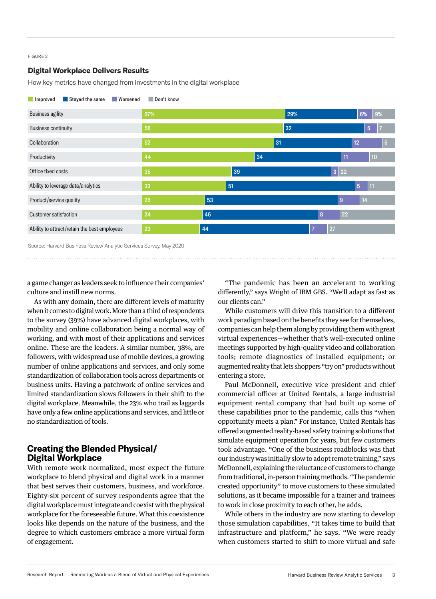#### FIGURE 2

# **Digital Workplace Delivers Results**

How key metrics have changed from investments in the digital workplace



■ Improved ■ Stayed the same ■ Worsened ■ Don't know

Source: Harvard Business Review Analytic Services Survey, May 2020

a game changer as leaders seek to influence their companies' culture and instill new norms.

As with any domain, there are different levels of maturity when it comes to digital work. More than a third of respondents to the survey (39%) have advanced digital workplaces, with mobility and online collaboration being a normal way of working, and with most of their applications and services online. These are the leaders. A similar number, 38%, are followers, with widespread use of mobile devices, a growing number of online applications and services, and only some standardization of collaboration tools across departments or business units. Having a patchwork of online services and limited standardization slows followers in their shift to the digital workplace. Meanwhile, the 23% who trail as laggards have only a few online applications and services, and little or no standardization of tools.

# **Creating the Blended Physical/ Digital Workplace**

With remote work normalized, most expect the future workplace to blend physical and digital work in a manner that best serves their customers, business, and workforce. Eighty-six percent of survey respondents agree that the digital workplace must integrate and coexist with the physical workplace for the foreseeable future. What this coexistence looks like depends on the nature of the business, and the degree to which customers embrace a more virtual form of engagement.

"The pandemic has been an accelerant to working differently," says Wright of IBM GBS. "We'll adapt as fast as our clients can."

While customers will drive this transition to a different work paradigm based on the benefits they see for themselves, companies can help them along by providing them with great virtual experiences—whether that's well-executed online meetings supported by high-quality video and collaboration tools; remote diagnostics of installed equipment; or augmented reality that lets shoppers "try on" products without entering a store.

Paul McDonnell, executive vice president and chief commercial officer at United Rentals, a large industrial equipment rental company that had built up some of these capabilities prior to the pandemic, calls this "when opportunity meets a plan." For instance, United Rentals has offered augmented reality-based safety training solutions that simulate equipment operation for years, but few customers took advantage. "One of the business roadblocks was that our industry was initially slow to adopt remote training," says McDonnell, explaining the reluctance of customers to change from traditional, in-person training methods. "The pandemic created opportunity" to move customers to these simulated solutions, as it became impossible for a trainer and trainees to work in close proximity to each other, he adds.

While others in the industry are now starting to develop those simulation capabilities, "It takes time to build that infrastructure and platform," he says. "We were ready when customers started to shift to more virtual and safe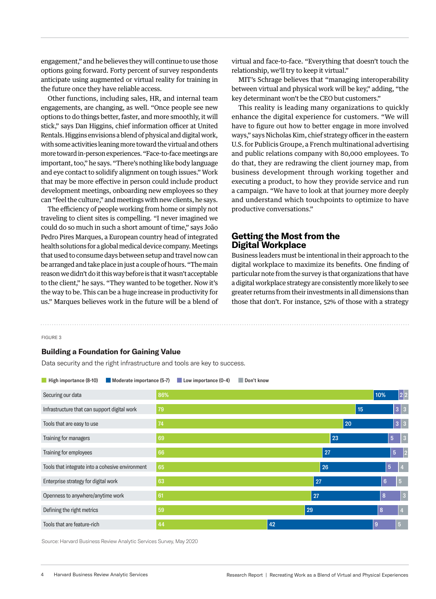engagement," and he believes they will continue to use those options going forward. Forty percent of survey respondents anticipate using augmented or virtual reality for training in the future once they have reliable access.

Other functions, including sales, HR, and internal team engagements, are changing, as well. "Once people see new options to do things better, faster, and more smoothly, it will stick," says Dan Higgins, chief information officer at United Rentals. Higgins envisions a blend of physical and digital work, with some activities leaning more toward the virtual and others more toward in-person experiences. "Face-to-face meetings are important, too," he says. "There's nothing like body language and eye contact to solidify alignment on tough issues." Work that may be more effective in person could include product development meetings, onboarding new employees so they can "feel the culture," and meetings with new clients, he says.

The efficiency of people working from home or simply not traveling to client sites is compelling. "I never imagined we could do so much in such a short amount of time," says João Pedro Pires Marques, a European country head of integrated health solutions for a global medical device company. Meetings that used to consume days between setup and travel now can be arranged and take place in just a couple of hours. "The main reason we didn't do it this way before is that it wasn't acceptable to the client," he says. "They wanted to be together. Now it's the way to be. This can be a huge increase in productivity for us." Marques believes work in the future will be a blend of virtual and face-to-face. "Everything that doesn't touch the relationship, we'll try to keep it virtual."

MIT's Schrage believes that "managing interoperability between virtual and physical work will be key," adding, "the key determinant won't be the CEO but customers."

This reality is leading many organizations to quickly enhance the digital experience for customers. "We will have to figure out how to better engage in more involved ways," says Nicholas Kim, chief strategy officer in the eastern U.S. for Publicis Groupe, a French multinational advertising and public relations company with 80,000 employees. To do that, they are redrawing the client journey map, from business development through working together and executing a product, to how they provide service and run a campaign. "We have to look at that journey more deeply and understand which touchpoints to optimize to have productive conversations."

# **Getting the Most from the Digital Workplace**

Business leaders must be intentional in their approach to the digital workplace to maximize its benefits. One finding of particular note from the survey is that organizations that have a digital workplace strategy are consistently more likely to see greater returns from their investments in all dimensions than those that don't. For instance, 52% of those with a strategy

#### FIGURE 3

#### **Building a Foundation for Gaining Value**

Data security and the right infrastructure and tools are key to success.

| High importance (8-10)<br>Moderate importance (5-7) |     | Low importance (0-4) | Don't know |    |    |    |    |                |                |                |
|-----------------------------------------------------|-----|----------------------|------------|----|----|----|----|----------------|----------------|----------------|
| Securing our data                                   | 86% |                      |            |    |    |    |    | 10%            |                | 2 2            |
| Infrastructure that can support digital work        | 79  |                      |            |    |    |    | 15 |                |                | 3 3            |
| Tools that are easy to use                          | 74  |                      |            |    |    | 20 |    |                |                | 3 3            |
| Training for managers                               | 69  |                      |            |    |    | 23 |    |                | $\overline{5}$ | $\overline{3}$ |
| Training for employees                              | 66  |                      |            |    | 27 |    |    |                | $\overline{5}$ | 2              |
| Tools that integrate into a cohesive environment    | 65  |                      |            |    | 26 |    |    |                | $\overline{5}$ | $\vert 4$      |
| Enterprise strategy for digital work                | 63  |                      |            |    | 27 |    |    | $6\phantom{1}$ |                | $\overline{5}$ |
| Openness to anywhere/anytime work                   | 61  |                      |            |    | 27 |    |    | 8              |                | 3              |
| Defining the right metrics                          | 59  |                      |            | 29 |    |    |    | 8              |                | $\overline{A}$ |
| Tools that are feature-rich                         | 44  |                      |            | 42 |    |    |    | 9              | $\overline{5}$ |                |

Source: Harvard Business Review Analytic Services Survey, May 2020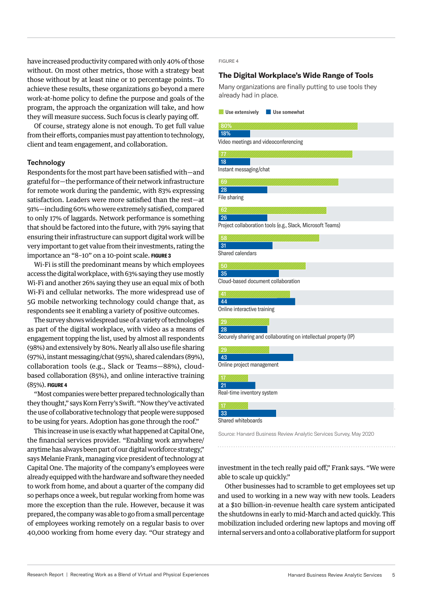have increased productivity compared with only 40% of those without. On most other metrics, those with a strategy beat those without by at least nine or 10 percentage points. To achieve these results, these organizations go beyond a mere work-at-home policy to define the purpose and goals of the program, the approach the organization will take, and how they will measure success. Such focus is clearly paying off.

Of course, strategy alone is not enough. To get full value from their efforts, companies must pay attention to technology, client and team engagement, and collaboration.

## **Technology**

Respondents for the most part have been satisfied with—and grateful for—the performance of their network infrastructure for remote work during the pandemic, with 83% expressing satisfaction. Leaders were more satisfied than the rest—at 91%—including 60% who were extremely satisfied, compared to only 17% of laggards. Network performance is something that should be factored into the future, with 79% saying that ensuring their infrastructure can support digital work will be very important to get value from their investments, rating the importance an "8–10" on a 10-point scale. **FIGURE 3**

Wi-Fi is still the predominant means by which employees access the digital workplace, with 63% saying they use mostly Wi-Fi and another 26% saying they use an equal mix of both Wi-Fi and cellular networks. The more widespread use of 5G mobile networking technology could change that, as respondents see it enabling a variety of positive outcomes.

The survey shows widespread use of a variety of technologies as part of the digital workplace, with video as a means of engagement topping the list, used by almost all respondents (98%) and extensively by 80%. Nearly all also use file sharing (97%), instant messaging/chat (95%), shared calendars (89%), collaboration tools (e.g., Slack or Teams—88%), cloudbased collaboration (85%), and online interactive training (85%). **FIGURE 4**

"Most companies were better prepared technologically than they thought," says Korn Ferry's Swift. "Now they've activated the use of collaborative technology that people were supposed to be using for years. Adoption has gone through the roof."

This increase in use is exactly what happened at Capital One, the financial services provider. "Enabling work anywhere/ anytime has always been part of our digital workforce strategy," says Melanie Frank, managing vice president of technology at Capital One. The majority of the company's employees were already equipped with the hardware and software they needed to work from home, and about a quarter of the company did so perhaps once a week, but regular working from home was more the exception than the rule. However, because it was prepared, the company was able to go from a small percentage of employees working remotely on a regular basis to over 40,000 working from home every day. "Our strategy and FIGURE 4

# **The Digital Workplace's Wide Range of Tools**

Many organizations are finally putting to use tools they already had in place.

|  | Use extensively |  | Use somewhat |
|--|-----------------|--|--------------|
|--|-----------------|--|--------------|

| 80%                         |                                                                    |
|-----------------------------|--------------------------------------------------------------------|
| 18%                         |                                                                    |
|                             | Video meetings and videoconferencing                               |
| N                           |                                                                    |
| 18                          |                                                                    |
| Instant messaging/chat      |                                                                    |
| 69                          |                                                                    |
| 28                          |                                                                    |
| File sharing                |                                                                    |
| 62                          |                                                                    |
| 26                          |                                                                    |
|                             | Project collaboration tools (e.g., Slack, Microsoft Teams)         |
| 58                          |                                                                    |
| 31                          |                                                                    |
| Shared calendars            |                                                                    |
| 50<                         |                                                                    |
| 35                          |                                                                    |
|                             | Cloud-based document collaboration                                 |
|                             |                                                                    |
| 41<br>44                    |                                                                    |
| Online interactive training |                                                                    |
|                             |                                                                    |
| 29                          |                                                                    |
| 28                          | Securely sharing and collaborating on intellectual property (IP)   |
|                             |                                                                    |
| 29                          |                                                                    |
| 43                          |                                                                    |
| Online project management   |                                                                    |
| Ń                           |                                                                    |
| 21                          |                                                                    |
| Real-time inventory system  |                                                                    |
| A7                          |                                                                    |
| 33                          |                                                                    |
| Shared whiteboards          |                                                                    |
|                             | Source: Harvard Business Review Analytic Services Survey, May 2020 |
|                             |                                                                    |

investment in the tech really paid off," Frank says. "We were able to scale up quickly."

Other businesses had to scramble to get employees set up and used to working in a new way with new tools. Leaders at a \$10 billion-in-revenue health care system anticipated the shutdowns in early to mid-March and acted quickly. This mobilization included ordering new laptops and moving off internal servers and onto a collaborative platform for support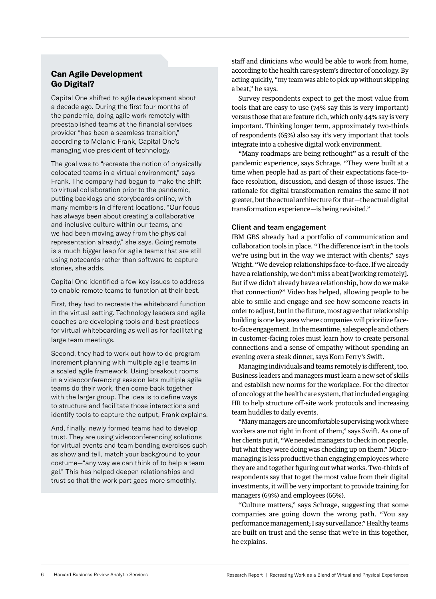# **Can Agile Development Go Digital?**

Capital One shifted to agile development about a decade ago. During the first four months of the pandemic, doing agile work remotely with preestablished teams at the financial services provider "has been a seamless transition," according to Melanie Frank, Capital One's managing vice president of technology.

The goal was to "recreate the notion of physically colocated teams in a virtual environment," says Frank. The company had begun to make the shift to virtual collaboration prior to the pandemic, putting backlogs and storyboards online, with many members in different locations. "Our focus has always been about creating a collaborative and inclusive culture within our teams, and we had been moving away from the physical representation already," she says. Going remote is a much bigger leap for agile teams that are still using notecards rather than software to capture stories, she adds.

Capital One identified a few key issues to address to enable remote teams to function at their best.

First, they had to recreate the whiteboard function in the virtual setting. Technology leaders and agile coaches are developing tools and best practices for virtual whiteboarding as well as for facilitating large team meetings.

Second, they had to work out how to do program increment planning with multiple agile teams in a scaled agile framework. Using breakout rooms in a videoconferencing session lets multiple agile teams do their work, then come back together with the larger group. The idea is to define ways to structure and facilitate those interactions and identify tools to capture the output, Frank explains.

And, finally, newly formed teams had to develop trust. They are using videoconferencing solutions for virtual events and team bonding exercises such as show and tell, match your background to your costume—"any way we can think of to help a team gel." This has helped deepen relationships and trust so that the work part goes more smoothly.

staff and clinicians who would be able to work from home, according to the health care system's director of oncology. By acting quickly, "my team was able to pick up without skipping a beat," he says.

Survey respondents expect to get the most value from tools that are easy to use (74% say this is very important) versus those that are feature rich, which only 44% say is very important. Thinking longer term, approximately two-thirds of respondents (65%) also say it's very important that tools integrate into a cohesive digital work environment.

"Many roadmaps are being rethought" as a result of the pandemic experience, says Schrage. "They were built at a time when people had as part of their expectations face-toface resolution, discussion, and design of those issues. The rationale for digital transformation remains the same if not greater, but the actual architecture for that—the actual digital transformation experience—is being revisited."

# Client and team engagement

IBM GBS already had a portfolio of communication and collaboration tools in place. "The difference isn't in the tools we're using but in the way we interact with clients," says Wright. "We develop relationships face-to-face. If we already have a relationship, we don't miss a beat [working remotely]. But if we didn't already have a relationship, how do we make that connection?" Video has helped, allowing people to be able to smile and engage and see how someone reacts in order to adjust, but in the future, most agree that relationship building is one key area where companies will prioritize faceto-face engagement. In the meantime, salespeople and others in customer-facing roles must learn how to create personal connections and a sense of empathy without spending an evening over a steak dinner, says Korn Ferry's Swift.

Managing individuals and teams remotely is different, too. Business leaders and managers must learn a new set of skills and establish new norms for the workplace. For the director of oncology at the health care system, that included engaging HR to help structure off-site work protocols and increasing team huddles to daily events.

"Many managers are uncomfortable supervising work where workers are not right in front of them," says Swift. As one of her clients put it, "We needed managers to check in on people, but what they were doing was checking up on them." Micromanaging is less productive than engaging employees where they are and together figuring out what works. Two-thirds of respondents say that to get the most value from their digital investments, it will be very important to provide training for managers (69%) and employees (66%).

"Culture matters," says Schrage, suggesting that some companies are going down the wrong path. "You say performance management; I say surveillance." Healthy teams are built on trust and the sense that we're in this together, he explains.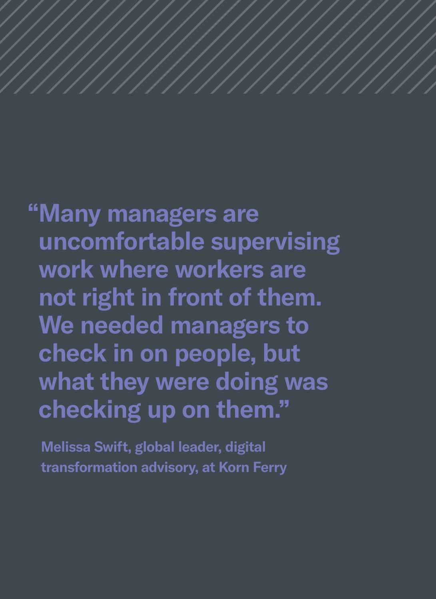**"Many managers are uncomfortable supervising work where workers are not right in front of them. We needed managers to check in on people, but what they were doing was checking up on them."**

**Melissa Swift, global leader, digital transformation advisory, at Korn Ferry**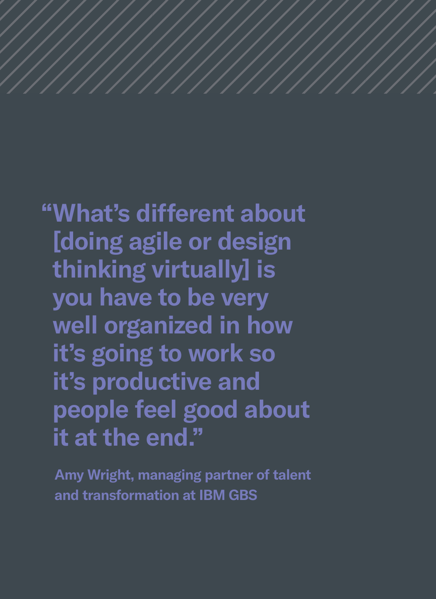**"What's different about [doing agile or design thinking virtually] is you have to be very well organized in how it's going to work so it's productive and people feel good about it at the end."**

**Amy Wright, managing partner of talent and transformation at IBM GBS**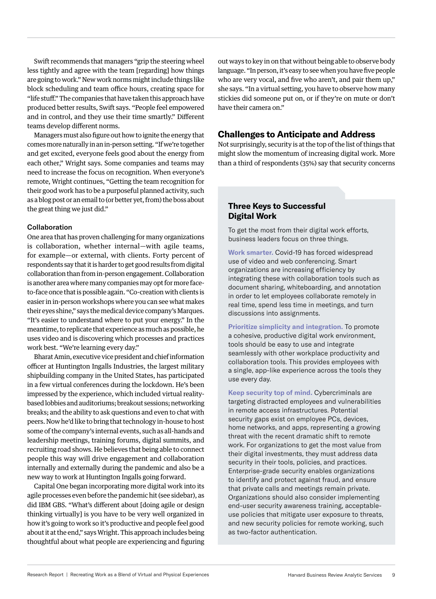Swift recommends that managers "grip the steering wheel less tightly and agree with the team [regarding] how things are going to work." New work norms might include things like block scheduling and team office hours, creating space for "life stuff." The companies that have taken this approach have produced better results, Swift says. "People feel empowered and in control, and they use their time smartly." Different teams develop different norms.

Managers must also figure out how to ignite the energy that comes more naturally in an in-person setting. "If we're together and get excited, everyone feels good about the energy from each other," Wright says. Some companies and teams may need to increase the focus on recognition. When everyone's remote, Wright continues, "Getting the team recognition for their good work has to be a purposeful planned activity, such as a blog post or an email to (or better yet, from) the boss about the great thing we just did."

#### Collaboration

One area that has proven challenging for many organizations is collaboration, whether internal—with agile teams, for example—or external, with clients. Forty percent of respondents say that it is harder to get good results from digital collaboration than from in-person engagement. Collaboration is another area where many companies may opt for more faceto-face once that is possible again. "Co-creation with clients is easier in in-person workshops where you can see what makes their eyes shine," says the medical device company's Marques. "It's easier to understand where to put your energy." In the meantime, to replicate that experience as much as possible, he uses video and is discovering which processes and practices work best. "We're learning every day."

Bharat Amin, executive vice president and chief information officer at Huntington Ingalls Industries, the largest military shipbuilding company in the United States, has participated in a few virtual conferences during the lockdown. He's been impressed by the experience, which included virtual realitybased lobbies and auditoriums; breakout sessions; networking breaks; and the ability to ask questions and even to chat with peers. Now he'd like to bring that technology in-house to host some of the company's internal events, such as all-hands and leadership meetings, training forums, digital summits, and recruiting road shows. He believes that being able to connect people this way will drive engagement and collaboration internally and externally during the pandemic and also be a new way to work at Huntington Ingalls going forward.

Capital One began incorporating more digital work into its agile processes even before the pandemic hit (see sidebar), as did IBM GBS. "What's different about [doing agile or design thinking virtually] is you have to be very well organized in how it's going to work so it's productive and people feel good about it at the end," says Wright. This approach includes being thoughtful about what people are experiencing and figuring out ways to key in on that without being able to observe body language. "In person, it's easy to see when you have five people who are very vocal, and five who aren't, and pair them up," she says. "In a virtual setting, you have to observe how many stickies did someone put on, or if they're on mute or don't have their camera on."

# **Challenges to Anticipate and Address**

Not surprisingly, security is at the top of the list of things that might slow the momentum of increasing digital work. More than a third of respondents (35%) say that security concerns

# **Three Keys to Successful Digital Work**

To get the most from their digital work efforts, business leaders focus on three things.

**Work smarter.** Covid-19 has forced widespread use of video and web conferencing. Smart organizations are increasing efficiency by integrating these with collaboration tools such as document sharing, whiteboarding, and annotation in order to let employees collaborate remotely in real time, spend less time in meetings, and turn discussions into assignments.

**Prioritize simplicity and integration.** To promote a cohesive, productive digital work environment, tools should be easy to use and integrate seamlessly with other workplace productivity and collaboration tools. This provides employees with a single, app-like experience across the tools they use every day.

**Keep security top of mind.** Cybercriminals are targeting distracted employees and vulnerabilities in remote access infrastructures. Potential security gaps exist on employee PCs, devices, home networks, and apps, representing a growing threat with the recent dramatic shift to remote work. For organizations to get the most value from their digital investments, they must address data security in their tools, policies, and practices. Enterprise-grade security enables organizations to identify and protect against fraud, and ensure that private calls and meetings remain private. Organizations should also consider implementing end-user security awareness training, acceptableuse policies that mitigate user exposure to threats, and new security policies for remote working, such as two-factor authentication.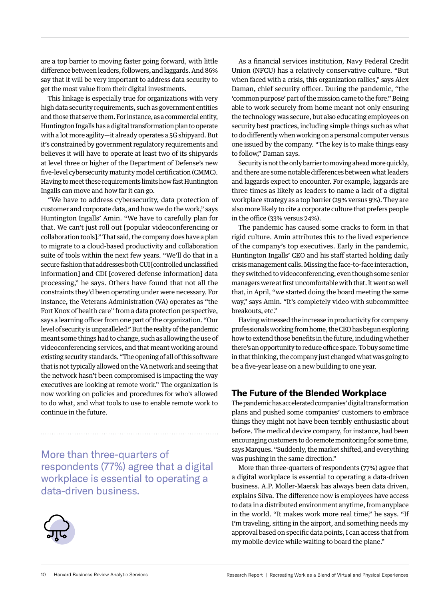are a top barrier to moving faster going forward, with little difference between leaders, followers, and laggards. And 86% say that it will be very important to address data security to get the most value from their digital investments.

This linkage is especially true for organizations with very high data security requirements, such as government entities and those that serve them. For instance, as a commercial entity, Huntington Ingalls has a digital transformation plan to operate with a lot more agility—it already operates a 5G shipyard. But it's constrained by government regulatory requirements and believes it will have to operate at least two of its shipyards at level three or higher of the Department of Defense's new five-level cybersecurity maturity model certification (CMMC). Having to meet these requirements limits how fast Huntington Ingalls can move and how far it can go.

"We have to address cybersecurity, data protection of customer and corporate data, and how we do the work," says Huntington Ingalls' Amin. "We have to carefully plan for that. We can't just roll out [popular videoconferencing or collaboration tools]." That said, the company does have a plan to migrate to a cloud-based productivity and collaboration suite of tools within the next few years. "We'll do that in a secure fashion that addresses both CUI [controlled unclassified information] and CDI [covered defense information] data processing," he says. Others have found that not all the constraints they'd been operating under were necessary. For instance, the Veterans Administration (VA) operates as "the Fort Knox of health care" from a data protection perspective, says a learning officer from one part of the organization. "Our level of security is unparalleled." But the reality of the pandemic meant some things had to change, such as allowing the use of videoconferencing services, and that meant working around existing security standards. "The opening of all of this software that is not typically allowed on the VA network and seeing that the network hasn't been compromised is impacting the way executives are looking at remote work." The organization is now working on policies and procedures for who's allowed to do what, and what tools to use to enable remote work to continue in the future.

More than three-quarters of respondents (77%) agree that a digital workplace is essential to operating a data-driven business.



As a financial services institution, Navy Federal Credit Union (NFCU) has a relatively conservative culture. "But when faced with a crisis, this organization rallies," says Alex Daman, chief security officer. During the pandemic, "the 'common purpose' part of the mission came to the fore." Being able to work securely from home meant not only ensuring the technology was secure, but also educating employees on security best practices, including simple things such as what to do differently when working on a personal computer versus one issued by the company. "The key is to make things easy to follow," Daman says.

Security is not the only barrier to moving ahead more quickly, and there are some notable differences between what leaders and laggards expect to encounter. For example, laggards are three times as likely as leaders to name a lack of a digital workplace strategy as a top barrier (29% versus 9%). They are also more likely to cite a corporate culture that prefers people in the office (33% versus 24%).

The pandemic has caused some cracks to form in that rigid culture. Amin attributes this to the lived experience of the company's top executives. Early in the pandemic, Huntington Ingalls' CEO and his staff started holding daily crisis management calls. Missing the face-to-face interaction, they switched to videoconferencing, even though some senior managers were at first uncomfortable with that. It went so well that, in April, "we started doing the board meeting the same way," says Amin. "It's completely video with subcommittee breakouts, etc."

Having witnessed the increase in productivity for company professionals working from home, the CEO has begun exploring how to extend those benefits in the future, including whether there's an opportunity to reduce office space. To buy some time in that thinking, the company just changed what was going to be a five-year lease on a new building to one year.

# **The Future of the Blended Workplace**

The pandemic has accelerated companies' digital transformation plans and pushed some companies' customers to embrace things they might not have been terribly enthusiastic about before. The medical device company, for instance, had been encouraging customers to do remote monitoring for some time, says Marques. "Suddenly, the market shifted, and everything was pushing in the same direction."

More than three-quarters of respondents (77%) agree that a digital workplace is essential to operating a data-driven business. A.P. Moller-Maersk has always been data driven, explains Silva. The difference now is employees have access to data in a distributed environment anytime, from anyplace in the world. "It makes work more real time," he says. "If I'm traveling, sitting in the airport, and something needs my approval based on specific data points, I can access that from my mobile device while waiting to board the plane."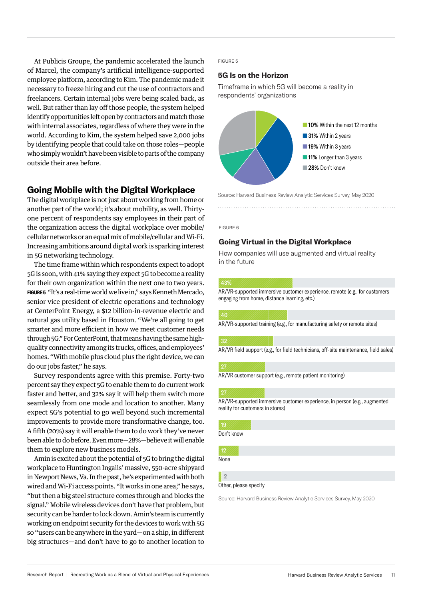At Publicis Groupe, the pandemic accelerated the launch of Marcel, the company's artificial intelligence-supported employee platform, according to Kim. The pandemic made it necessary to freeze hiring and cut the use of contractors and freelancers. Certain internal jobs were being scaled back, as well. But rather than lay off those people, the system helped identify opportunities left open by contractors and match those with internal associates, regardless of where they were in the world. According to Kim, the system helped save 2,000 jobs by identifying people that could take on those roles—people who simply wouldn't have been visible to parts of the company outside their area before.

# **Going Mobile with the Digital Workplace**

The digital workplace is not just about working from home or another part of the world; it's about mobility, as well. Thirtyone percent of respondents say employees in their part of the organization access the digital workplace over mobile/ cellular networks or an equal mix of mobile/cellular and Wi-Fi. Increasing ambitions around digital work is sparking interest in 5G networking technology.

The time frame within which respondents expect to adopt 5G is soon, with 41% saying they expect 5G to become a reality for their own organization within the next one to two years. **FIGURE 5** "It's a real-time world we live in," says Kenneth Mercado, senior vice president of electric operations and technology at CenterPoint Energy, a \$12 billion-in-revenue electric and natural gas utility based in Houston. "We're all going to get smarter and more efficient in how we meet customer needs through 5G." For CenterPoint, that means having the same highquality connectivity among its trucks, offices, and employees' homes. "With mobile plus cloud plus the right device, we can do our jobs faster," he says.

Survey respondents agree with this premise. Forty-two percent say they expect 5G to enable them to do current work faster and better, and 32% say it will help them switch more seamlessly from one mode and location to another. Many expect 5G's potential to go well beyond such incremental improvements to provide more transformative change, too. A fifth (20%) say it will enable them to do work they've never been able to do before. Even more—28%—believe it will enable them to explore new business models.

Amin is excited about the potential of 5G to bring the digital workplace to Huntington Ingalls' massive, 550-acre shipyard in Newport News, Va. In the past, he's experimented with both wired and Wi-Fi access points. "It works in one area," he says, "but then a big steel structure comes through and blocks the signal." Mobile wireless devices don't have that problem, but security can be harder to lock down. Amin's team is currently working on endpoint security for the devices to work with 5G so "users can be anywhere in the yard—on a ship, in different big structures—and don't have to go to another location to

#### FIGURE 5

#### **5G Is on the Horizon**

Timeframe in which 5G will become a reality in respondents' organizations



Source: Harvard Business Review Analytic Services Survey, May 2020

#### FIGURE 6

## **Going Virtual in the Digital Workplace**

How companies will use augmented and virtual reality in the future

#### 43%

AR/VR-supported immersive customer experience, remote (e.g., for customers engaging from home, distance learning, etc.)

AR/VR-supported training (e.g., for manufacturing safety or remote sites)

AR/VR field support (e.g., for field technicians, off-site maintenance, field sales)

#### 27

AR/VR customer support (e.g., remote patient monitoring)

AR/VR-supported immersive customer experience, in person (e.g., augmented reality for customers in stores)

Don't know

None

#### Other, please specify 2

Source: Harvard Business Review Analytic Services Survey, May 2020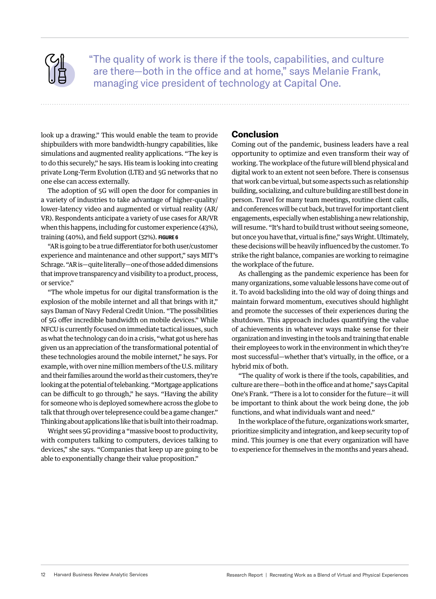"The quality of work is there if the tools, capabilities, and culture are there—both in the office and at home," says Melanie Frank, managing vice president of technology at Capital One.

look up a drawing." This would enable the team to provide shipbuilders with more bandwidth-hungry capabilities, like simulations and augmented reality applications. "The key is to do this securely," he says. His team is looking into creating private Long-Term Evolution (LTE) and 5G networks that no one else can access externally.

The adoption of 5G will open the door for companies in a variety of industries to take advantage of higher-quality/ lower-latency video and augmented or virtual reality (AR/ VR). Respondents anticipate a variety of use cases for AR/VR when this happens, including for customer experience (43%), training (40%), and field support (32%). **FIGURE 6**

"AR is going to be a true differentiator for both user/customer experience and maintenance and other support," says MIT's Schrage. "AR is—quite literally—one of those added dimensions that improve transparency and visibility to a product, process, or service."

"The whole impetus for our digital transformation is the explosion of the mobile internet and all that brings with it," says Daman of Navy Federal Credit Union. "The possibilities of 5G offer incredible bandwidth on mobile devices." While NFCU is currently focused on immediate tactical issues, such as what the technology can do in a crisis, "what got us here has given us an appreciation of the transformational potential of these technologies around the mobile internet," he says. For example, with over nine million members of the U.S. military and their families around the world as their customers, they're looking at the potential of telebanking. "Mortgage applications can be difficult to go through," he says. "Having the ability for someone who is deployed somewhere across the globe to talk that through over telepresence could be a game changer." Thinking about applications like that is built into their roadmap.

Wright sees 5G providing a "massive boost to productivity, with computers talking to computers, devices talking to devices," she says. "Companies that keep up are going to be able to exponentially change their value proposition."

# **Conclusion**

Coming out of the pandemic, business leaders have a real opportunity to optimize and even transform their way of working. The workplace of the future will blend physical and digital work to an extent not seen before. There is consensus that work can be virtual, but some aspects such as relationship building, socializing, and culture building are still best done in person. Travel for many team meetings, routine client calls, and conferences will be cut back, but travel for important client engagements, especially when establishing a new relationship, will resume. "It's hard to build trust without seeing someone, but once you have that, virtual is fine," says Wright. Ultimately, these decisions will be heavily influenced by the customer. To strike the right balance, companies are working to reimagine the workplace of the future.

As challenging as the pandemic experience has been for many organizations, some valuable lessons have come out of it. To avoid backsliding into the old way of doing things and maintain forward momentum, executives should highlight and promote the successes of their experiences during the shutdown. This approach includes quantifying the value of achievements in whatever ways make sense for their organization and investing in the tools and training that enable their employees to work in the environment in which they're most successful—whether that's virtually, in the office, or a hybrid mix of both.

"The quality of work is there if the tools, capabilities, and culture are there—both in the office and at home," says Capital One's Frank. "There is a lot to consider for the future—it will be important to think about the work being done, the job functions, and what individuals want and need."

In the workplace of the future, organizations work smarter, prioritize simplicity and integration, and keep security top of mind. This journey is one that every organization will have to experience for themselves in the months and years ahead.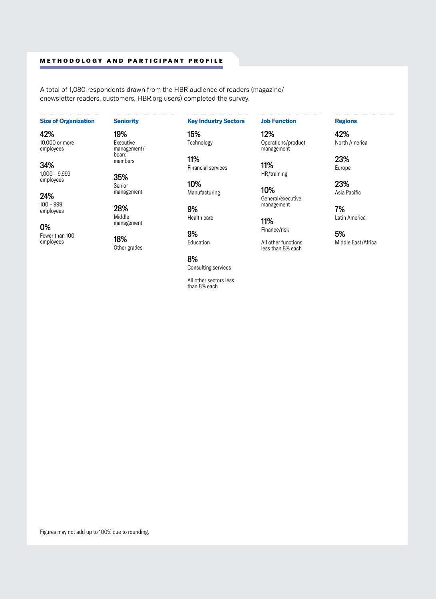### METHODOLOGY AND PARTICIPANT PROFILE

A total of 1,080 respondents drawn from the HBR audience of readers (magazine/ enewsletter readers, customers, HBR.org users) completed the survey.

# **Size of Organization**

42%

10,000 or more employees

34% 1,000 – 9,999 employees

24% 100 – 999 employees

0% Fewer than 100 employees

#### **Seniority**

19% Executive management/ board members

35% Senior management

28% Middle management

18% Other grades **Key Industry Sectors**

15% **Technology** 

11% Financial services

10% Manufacturing

9% Health care

9% Education

8% Consulting services

All other sectors less than 8% each

## **Job Function**

12% Operations/product management

11% HR/training

10% General/executive management

11% Finance/risk

All other functions less than 8% each

### **Regions**

42% North America

23% Europe

23% Asia Pacific

7% Latin America

5% Middle East/Africa